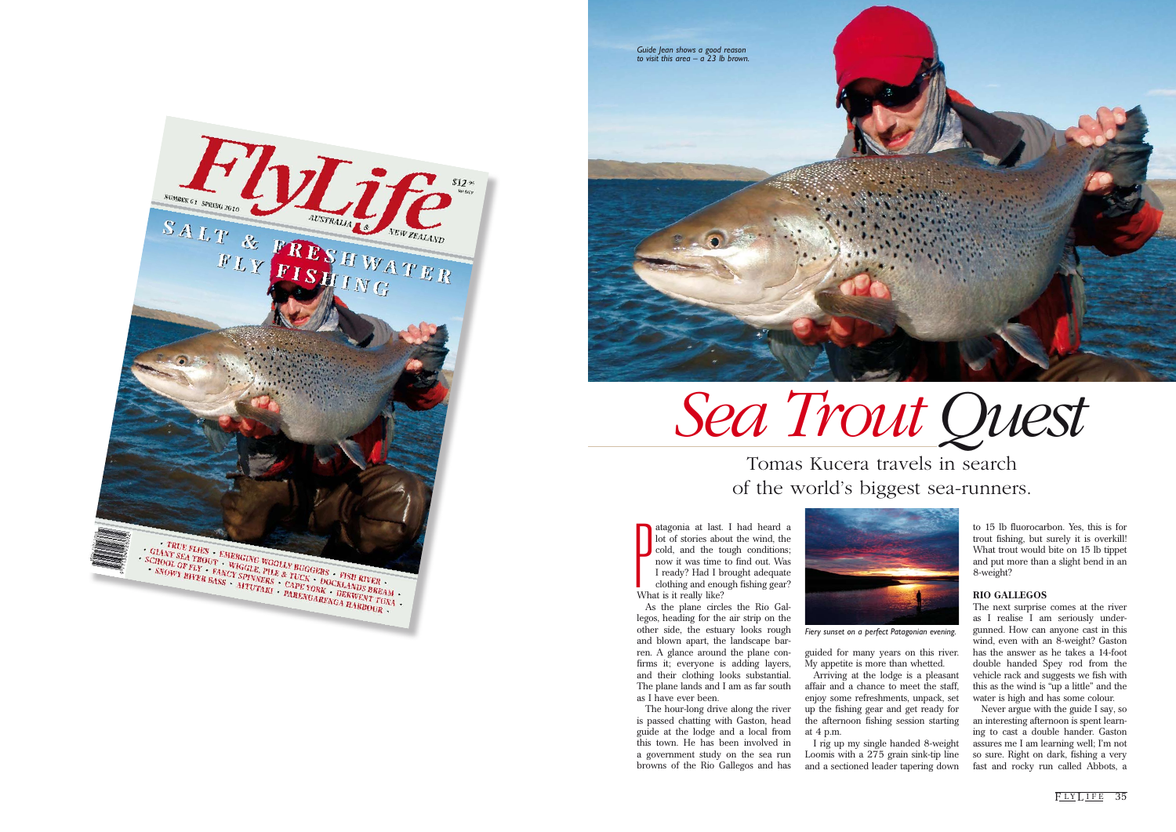atagonia at last.<br>
lot of stories abo<br>
cold, and the to<br>
now it was time<br>
I ready? Had I b<br>
clothing and enou<br>
What is it really like? atagonia at last. I had heard a lot of stories about the wind, the cold, and the tough conditions; now it was time to find out. Was I ready? Had I brought adequate clothing and enough fishing gear?

As the plane circles the Rio Gallegos, heading for the air strip on the other side, the estuary looks rough and blown apart, the landscape barren. A glance around the plane confirms it; everyone is adding layers, and their clothing looks substantial. The plane lands and I am as far south as I have ever been.

The hour-long drive along the river is passed chatting with Gaston, head guide at the lodge and a local from this town. He has been involved in a government study on the sea run browns of the Rio Gallegos and has



guided for many years on this river. My appetite is more than whetted. Arriving at the lodge is a pleasant affair and a chance to meet the staff, enjoy some refreshments, unpack, set up the fishing gear and get ready for the afternoon fishing session starting

at 4 p.m.

I rig up my single handed 8-weight Loomis with a 275 grain sink-tip line and a sectioned leader tapering down

to 15 lb fluorocarbon. Yes, this is for trout fishing, but surely it is overkill! What trout would bite on 15 lb tippet and put more than a slight bend in an 8-weight?

#### **RIO GALLEGOS**

The next surprise comes at the river as I realise I am seriously undergunned. How can anyone cast in this wind, even with an 8-weight? Gaston has the answer as he takes a 14-foot double handed Spey rod from the vehicle rack and suggests we fish with this as the wind is "up a little" and the water is high and has some colour.

Never argue with the guide I say, so an interesting afternoon is spent learning to cast a double hander. Gaston assures me I am learning well; I'm not so sure. Right on dark, fishing a very fast and rocky run called Abbots, a





# *Sea Trout Quest*

### Tomas Kucera travels in search of the world's biggest sea-runners.

*Fiery sunset on a perfect Patagonian evening.*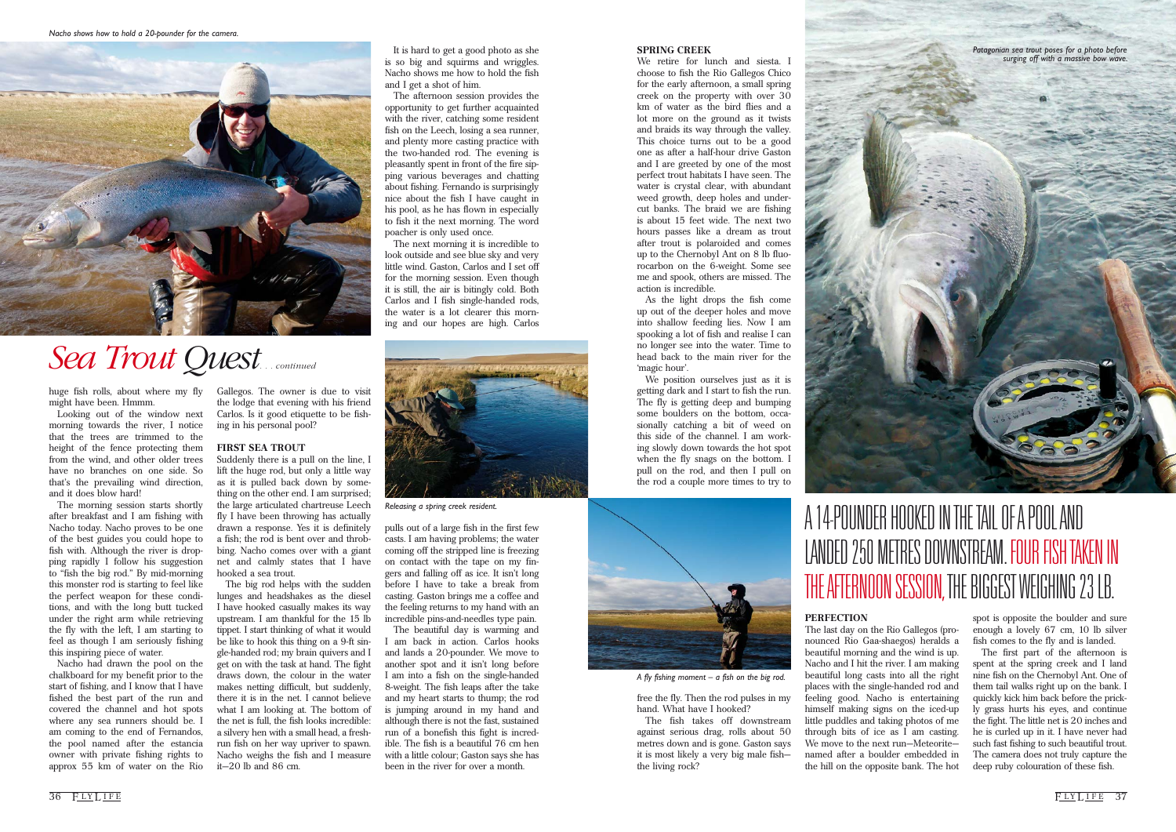#### **SPRING CREEK**

We retire for lunch and siesta. I choose to fish the Rio Gallegos Chico for the early afternoon, a small spring creek on the property with over 30 km of water as the bird flies and a lot more on the ground as it twists and braids its way through the valley. This choice turns out to be a good one as after a half-hour drive Gaston and I are greeted by one of the most perfect trout habitats I have seen. The water is crystal clear, with abundant weed growth, deep holes and undercut banks. The braid we are fishing is about 15 feet wide. The next two hours passes like a dream as trout after trout is polaroided and comes up to the Chernobyl Ant on 8 lb fluorocarbon on the 6-weight. Some see me and spook, others are missed. The action is incredible.

As the light drops the fish come up out of the deeper holes and move into shallow feeding lies. Now I am spooking a lot of fish and realise I can no longer see into the water. Time to head back to the main river for the 'magic hour'.

We position ourselves just as it is getting dark and I start to fish the run. The fly is getting deep and bumping some boulders on the bottom, occasionally catching a bit of weed on this side of the channel. I am working slowly down towards the hot spot when the fly snags on the bottom. I pull on the rod, and then I pull on the rod a couple more times to try to

free the fly. Then the rod pulses in my hand. What have I hooked?

The fish takes off downstream against serious drag, rolls about 50 metres down and is gone. Gaston says it is most likely a very big male fish the living rock?

#### **PERFECTION**

The last day on the Rio Gallegos (pronounced Rio Gaa-shaegos) heralds a beautiful morning and the wind is up. Nacho and I hit the river. I am making beautiful long casts into all the right places with the single-handed rod and feeling good. Nacho is entertaining himself making signs on the iced-up little puddles and taking photos of me through bits of ice as I am casting. We move to the next run—Meteorite named after a boulder embedded in the hill on the opposite bank. The hot

spot is opposite the boulder and sure enough a lovely 67 cm, 10 lb silver fish comes to the fly and is landed.

The first part of the afternoon is spent at the spring creek and I land nine fish on the Chernobyl Ant. One of them tail walks right up on the bank. I quickly kick him back before the prickly grass hurts his eyes, and continue the fight. The little net is 20 inches and he is curled up in it. I have never had such fast fishing to such beautiful trout. The camera does not truly capture the deep ruby colouration of these fish.

36 FLYLIFE 37

huge fish rolls, about where my fly might have been. Hmmm.

Looking out of the window next morning towards the river, I notice that the trees are trimmed to the height of the fence protecting them from the wind, and other older trees have no branches on one side. So that's the prevailing wind direction, and it does blow hard!

The morning session starts shortly after breakfast and I am fishing with Nacho today. Nacho proves to be one of the best guides you could hope to fish with. Although the river is dropping rapidly I follow his suggestion to "fish the big rod." By mid-morning this monster rod is starting to feel like the perfect weapon for these conditions, and with the long butt tucked under the right arm while retrieving the fly with the left, I am starting to feel as though I am seriously fishing this inspiring piece of water.

Nacho had drawn the pool on the chalkboard for my benefit prior to the start of fishing, and I know that I have fished the best part of the run and covered the channel and hot spots where any sea runners should be. I am coming to the end of Fernandos, the pool named after the estancia owner with private fishing rights to approx 55 km of water on the Rio

Gallegos. The owner is due to visit the lodge that evening with his friend Carlos. Is it good etiquette to be fishing in his personal pool?

#### **FIRST SEA TROUT**

Suddenly there is a pull on the line, I lift the huge rod, but only a little way as it is pulled back down by something on the other end. I am surprised; the large articulated chartreuse Leech fly I have been throwing has actually drawn a response. Yes it is definitely a fish; the rod is bent over and throbbing. Nacho comes over with a giant net and calmly states that I have hooked a sea trout.

The big rod helps with the sudden lunges and headshakes as the diesel I have hooked casually makes its way upstream. I am thankful for the 15 lb tippet. I start thinking of what it would be like to hook this thing on a 9-ft single-handed rod; my brain quivers and I get on with the task at hand. The fight draws down, the colour in the water makes netting difficult, but suddenly, there it is in the net. I cannot believe what I am looking at. The bottom of the net is full, the fish looks incredible: a silvery hen with a small head, a freshrun fish on her way upriver to spawn. Nacho weighs the fish and I measure it—20 lb and 86 cm.

It is hard to get a good photo as she is so big and squirms and wriggles. Nacho shows me how to hold the fish and I get a shot of him.

The afternoon session provides the opportunity to get further acquainted with the river, catching some resident fish on the Leech, losing a sea runner, and plenty more casting practice with the two-handed rod. The evening is pleasantly spent in front of the fire sipping various beverages and chatting about fishing. Fernando is surprisingly nice about the fish I have caught in his pool, as he has flown in especially to fish it the next morning. The word poacher is only used once.

The next morning it is incredible to look outside and see blue sky and very little wind. Gaston, Carlos and I set off for the morning session. Even though it is still, the air is bitingly cold. Both Carlos and I fish single-handed rods, the water is a lot clearer this morning and our hopes are high. Carlos

pulls out of a large fish in the first few casts. I am having problems; the water coming off the stripped line is freezing on contact with the tape on my fingers and falling off as ice. It isn't long before I have to take a break from casting. Gaston brings me a coffee and the feeling returns to my hand with an incredible pins-and-needles type pain.

The beautiful day is warming and I am back in action. Carlos hooks and lands a 20-pounder. We move to another spot and it isn't long before I am into a fish on the single-handed 8-weight. The fish leaps after the take and my heart starts to thump; the rod is jumping around in my hand and although there is not the fast, sustained run of a bonefish this fight is incredible. The fish is a beautiful 76 cm hen with a little colour; Gaston says she has been in the river for over a month.

*Patagonian sea trout poses for a photo before surging off with a massive bow wave.*



*Nacho shows how to hold a 20-pounder for the camera.*





*Releasing a spring creek resident.*

## *Sea Trout Quest . . . continued*



*A fly fishing moment – a fish on the big rod.*